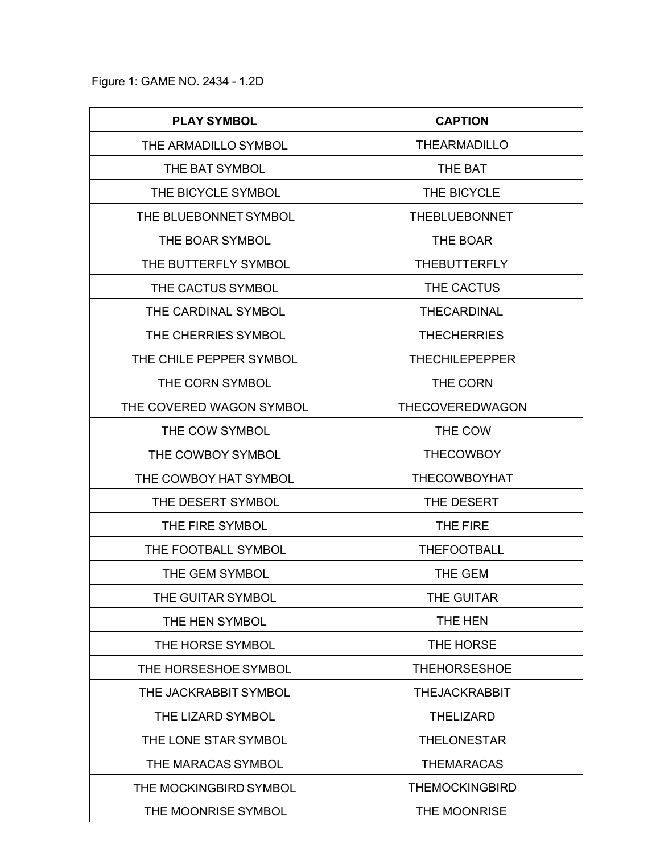Figure 1: GAME NO. 2434 - 1.2D

| <b>PLAY SYMBOL</b>       | <b>CAPTION</b>         |
|--------------------------|------------------------|
| THE ARMADILLO SYMBOL     | <b>THEARMADILLO</b>    |
| THE BAT SYMBOL           | THE BAT                |
| THE BICYCLE SYMBOL       | THE BICYCLE            |
| THE BLUEBONNET SYMBOL    | <b>THEBLUEBONNET</b>   |
| THE BOAR SYMBOL          | <b>THE BOAR</b>        |
| THE BUTTERFLY SYMBOL     | <b>THEBUTTERFLY</b>    |
| THE CACTUS SYMBOL        | THE CACTUS             |
| THE CARDINAL SYMBOL      | <b>THECARDINAL</b>     |
| THE CHERRIES SYMBOL      | <b>THECHERRIES</b>     |
| THE CHILE PEPPER SYMBOL  | <b>THECHILEPEPPER</b>  |
| THE CORN SYMBOL          | THE CORN               |
| THE COVERED WAGON SYMBOL | <b>THECOVEREDWAGON</b> |
| THE COW SYMBOL           | THE COW                |
| THE COWBOY SYMBOL        | <b>THECOWBOY</b>       |
| THE COWBOY HAT SYMBOL    | <b>THECOWBOYHAT</b>    |
| THE DESERT SYMBOL        | THE DESERT             |
| THE FIRE SYMBOL          | THE FIRE               |
| THE FOOTBALL SYMBOL      | <b>THEFOOTBALL</b>     |
| THE GEM SYMBOL           | <b>THE GEM</b>         |
| THE GUITAR SYMBOL        | THE GUITAR             |
| THE HEN SYMBOL           | THE HEN                |
| THE HORSE SYMBOL         | THE HORSE              |
| THE HORSESHOE SYMBOL     | <b>THEHORSESHOE</b>    |
| THE JACKRABBIT SYMBOL    | <b>THEJACKRABBIT</b>   |
| THE LIZARD SYMBOL        | <b>THELIZARD</b>       |
| THE LONE STAR SYMBOL     | <b>THELONESTAR</b>     |
| THE MARACAS SYMBOL       | <b>THEMARACAS</b>      |
| THE MOCKINGBIRD SYMBOL   | <b>THEMOCKINGBIRD</b>  |
| THE MOONRISE SYMBOL      | THE MOONRISE           |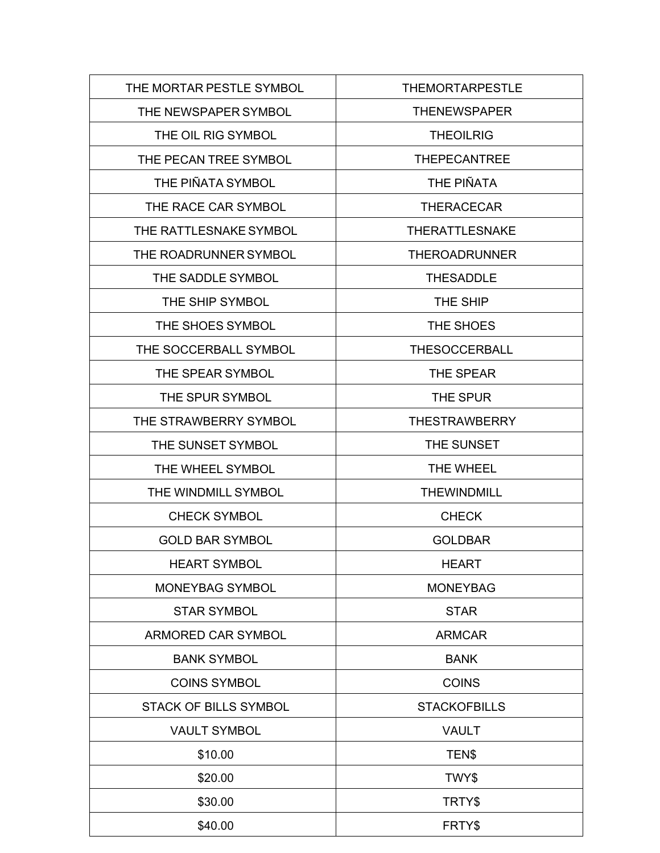| THE MORTAR PESTLE SYMBOL     | <b>THEMORTARPESTLE</b> |
|------------------------------|------------------------|
| THE NEWSPAPER SYMBOL         | <b>THENEWSPAPER</b>    |
| THE OIL RIG SYMBOL           | <b>THEOILRIG</b>       |
| THE PECAN TREE SYMBOL        | <b>THEPECANTREE</b>    |
| THE PIÑATA SYMBOL            | THE PIÑATA             |
| THE RACE CAR SYMBOL          | <b>THERACECAR</b>      |
| THE RATTLESNAKE SYMBOL       | <b>THERATTLESNAKE</b>  |
| THE ROADRUNNER SYMBOL        | <b>THEROADRUNNER</b>   |
| THE SADDLE SYMBOL            | <b>THESADDLE</b>       |
| THE SHIP SYMBOL              | THE SHIP               |
| THE SHOES SYMBOL             | THE SHOES              |
| THE SOCCERBALL SYMBOL        | <b>THESOCCERBALL</b>   |
| THE SPEAR SYMBOL             | <b>THE SPEAR</b>       |
| THE SPUR SYMBOL              | THE SPUR               |
| THE STRAWBERRY SYMBOL        | <b>THESTRAWBERRY</b>   |
| THE SUNSET SYMBOL            | THE SUNSET             |
| THE WHEEL SYMBOL             | THE WHEEL              |
| THE WINDMILL SYMBOL          | <b>THEWINDMILL</b>     |
| <b>CHECK SYMBOL</b>          | <b>CHECK</b>           |
| <b>GOLD BAR SYMBOL</b>       | <b>GOLDBAR</b>         |
| <b>HEART SYMBOL</b>          | <b>HEART</b>           |
| <b>MONEYBAG SYMBOL</b>       | <b>MONEYBAG</b>        |
| <b>STAR SYMBOL</b>           | <b>STAR</b>            |
| <b>ARMORED CAR SYMBOL</b>    | <b>ARMCAR</b>          |
| <b>BANK SYMBOL</b>           | <b>BANK</b>            |
| <b>COINS SYMBOL</b>          | <b>COINS</b>           |
| <b>STACK OF BILLS SYMBOL</b> | <b>STACKOFBILLS</b>    |
| <b>VAULT SYMBOL</b>          | <b>VAULT</b>           |
| \$10.00                      | TEN\$                  |
| \$20.00                      | TWY\$                  |
| \$30.00                      | TRTY\$                 |
| \$40.00                      | FRTY\$                 |